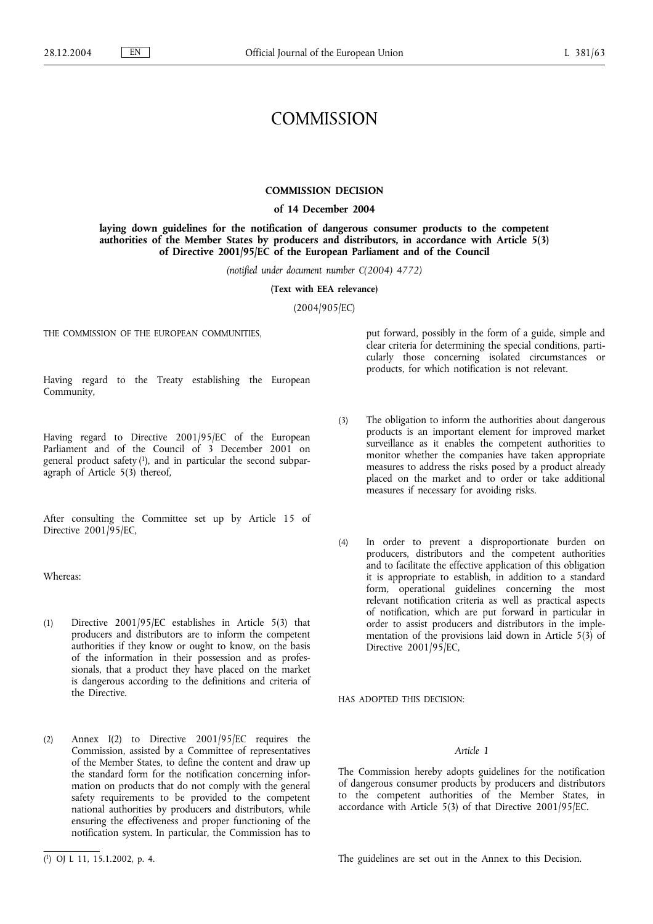# **COMMISSION**

# **COMMISSION DECISION**

# **of 14 December 2004**

**laying down guidelines for the notification of dangerous consumer products to the competent authorities of the Member States by producers and distributors, in accordance with Article 5(3) of Directive 2001/95/EC of the European Parliament and of the Council**

*(notified under document number C(2004) 4772)*

**(Text with EEA relevance)**

(2004/905/EC)

THE COMMISSION OF THE EUROPEAN COMMUNITIES.

Having regard to the Treaty establishing the European Community,

Having regard to Directive 2001/95/EC of the European Parliament and of the Council of 3 December 2001 on general product safety  $(1)$ , and in particular the second subparagraph of Article 5(3) thereof,

After consulting the Committee set up by Article 15 of Directive  $2001/\overline{9}5/\text{EC}$ ,

Whereas:

- (1) Directive 2001/95/EC establishes in Article 5(3) that producers and distributors are to inform the competent authorities if they know or ought to know, on the basis of the information in their possession and as professionals, that a product they have placed on the market is dangerous according to the definitions and criteria of the Directive.
- (2) Annex I(2) to Directive 2001/95/EC requires the Commission, assisted by a Committee of representatives of the Member States, to define the content and draw up the standard form for the notification concerning information on products that do not comply with the general safety requirements to be provided to the competent national authorities by producers and distributors, while ensuring the effectiveness and proper functioning of the notification system. In particular, the Commission has to

put forward, possibly in the form of a guide, simple and clear criteria for determining the special conditions, particularly those concerning isolated circumstances or products, for which notification is not relevant.

- (3) The obligation to inform the authorities about dangerous products is an important element for improved market surveillance as it enables the competent authorities to monitor whether the companies have taken appropriate measures to address the risks posed by a product already placed on the market and to order or take additional measures if necessary for avoiding risks.
- (4) In order to prevent a disproportionate burden on producers, distributors and the competent authorities and to facilitate the effective application of this obligation it is appropriate to establish, in addition to a standard form, operational guidelines concerning the most relevant notification criteria as well as practical aspects of notification, which are put forward in particular in order to assist producers and distributors in the implementation of the provisions laid down in Article 5(3) of Directive 2001/95/EC,

HAS ADOPTED THIS DECISION:

# *Article 1*

The Commission hereby adopts guidelines for the notification of dangerous consumer products by producers and distributors to the competent authorities of the Member States, in accordance with Article 5(3) of that Directive 2001/95/EC.

The guidelines are set out in the Annex to this Decision.

<sup>(</sup> 1) OJ L 11, 15.1.2002, p. 4.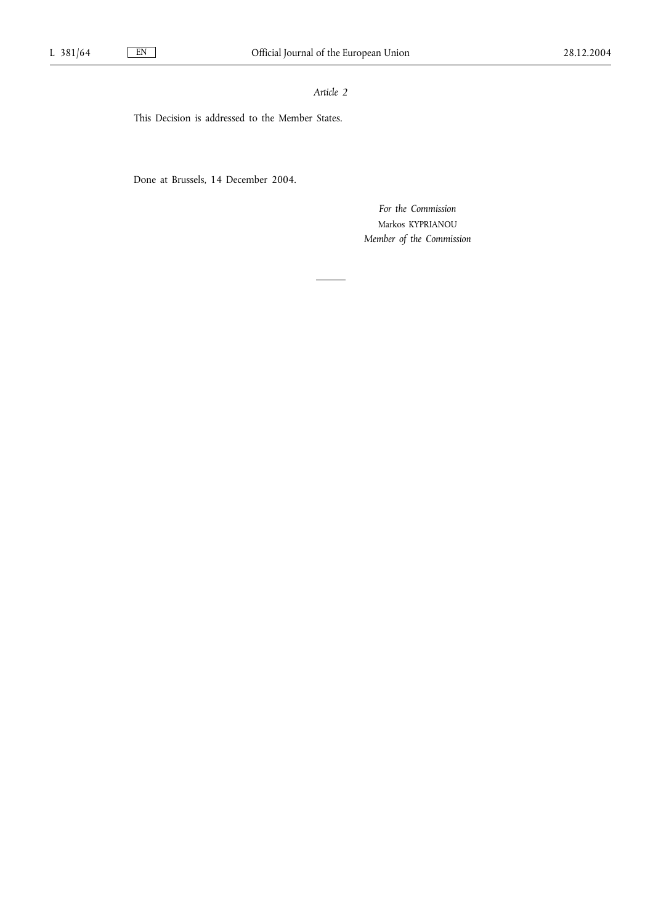*Article 2*

This Decision is addressed to the Member States.

Done at Brussels, 14 December 2004.

*For the Commission* Markos KYPRIANOU *Member of the Commission*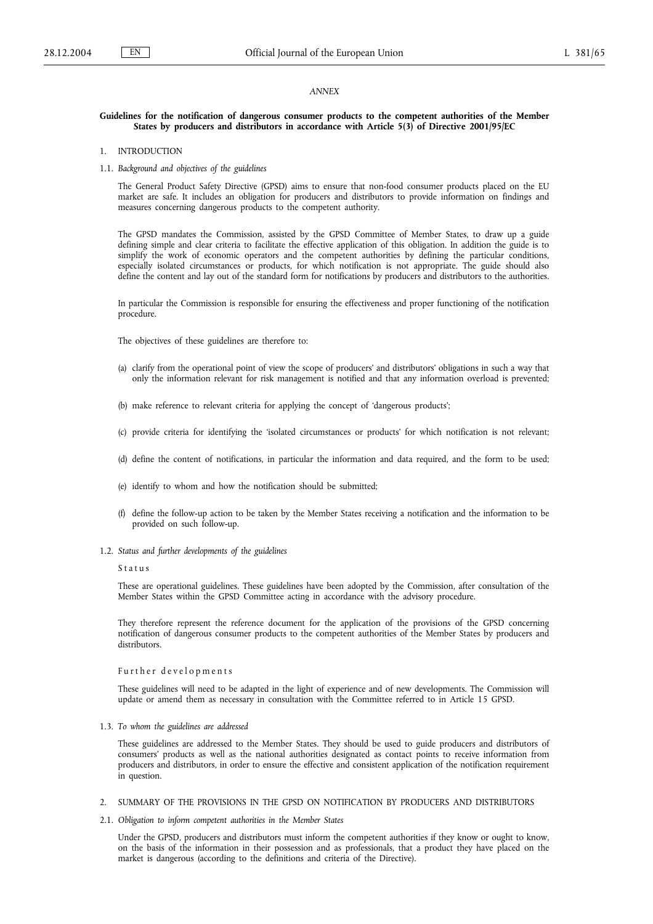#### *ANNEX*

#### **Guidelines for the notification of dangerous consumer products to the competent authorities of the Member States by producers and distributors in accordance with Article 5(3) of Directive 2001/95/EC**

- 1. INTRODUCTION
- 1.1. *Background and objectives of the guidelines*

The General Product Safety Directive (GPSD) aims to ensure that non-food consumer products placed on the EU market are safe. It includes an obligation for producers and distributors to provide information on findings and measures concerning dangerous products to the competent authority.

The GPSD mandates the Commission, assisted by the GPSD Committee of Member States, to draw up a guide defining simple and clear criteria to facilitate the effective application of this obligation. In addition the guide is to simplify the work of economic operators and the competent authorities by defining the particular conditions, especially isolated circumstances or products, for which notification is not appropriate. The guide should also define the content and lay out of the standard form for notifications by producers and distributors to the authorities.

In particular the Commission is responsible for ensuring the effectiveness and proper functioning of the notification procedure.

The objectives of these guidelines are therefore to:

- (a) clarify from the operational point of view the scope of producers' and distributors' obligations in such a way that only the information relevant for risk management is notified and that any information overload is prevented;
- (b) make reference to relevant criteria for applying the concept of 'dangerous products';
- (c) provide criteria for identifying the 'isolated circumstances or products' for which notification is not relevant;
- (d) define the content of notifications, in particular the information and data required, and the form to be used;
- (e) identify to whom and how the notification should be submitted;
- (f) define the follow-up action to be taken by the Member States receiving a notification and the information to be provided on such follow-up.
- 1.2. *Status and further developments of the guidelines*

#### Status

These are operational guidelines. These guidelines have been adopted by the Commission, after consultation of the Member States within the GPSD Committee acting in accordance with the advisory procedure.

They therefore represent the reference document for the application of the provisions of the GPSD concerning notification of dangerous consumer products to the competent authorities of the Member States by producers and distributors.

#### Further developments

These guidelines will need to be adapted in the light of experience and of new developments. The Commission will update or amend them as necessary in consultation with the Committee referred to in Article 15 GPSD.

## 1.3. *To whom the guidelines are addressed*

These guidelines are addressed to the Member States. They should be used to guide producers and distributors of consumers' products as well as the national authorities designated as contact points to receive information from producers and distributors, in order to ensure the effective and consistent application of the notification requirement in question

- 2. SUMMARY OF THE PROVISIONS IN THE GPSD ON NOTIFICATION BY PRODUCERS AND DISTRIBUTORS
- 2.1. *Obligation to inform competent authorities in the Member States*

Under the GPSD, producers and distributors must inform the competent authorities if they know or ought to know, on the basis of the information in their possession and as professionals, that a product they have placed on the market is dangerous (according to the definitions and criteria of the Directive).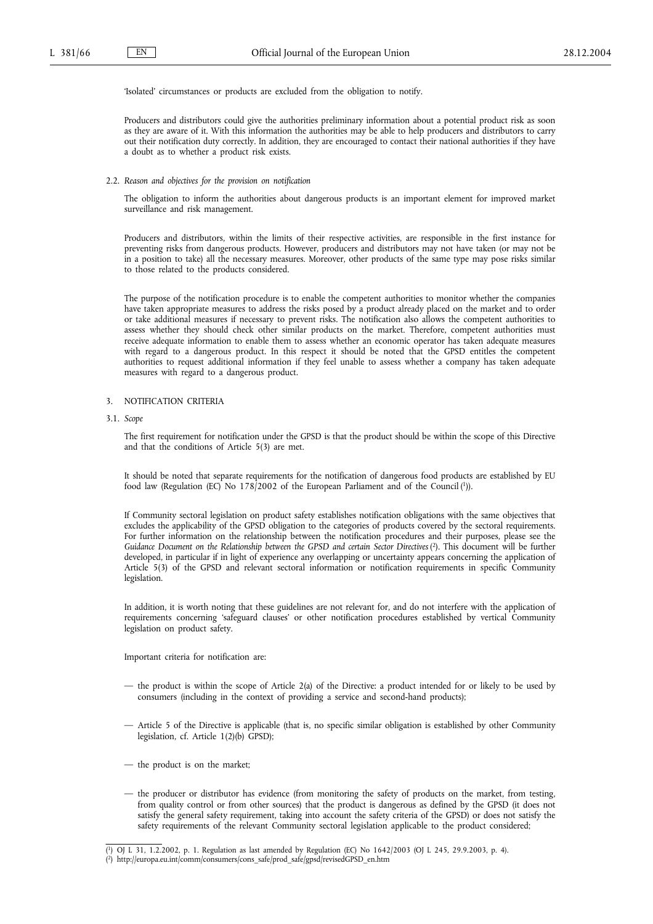'Isolated' circumstances or products are excluded from the obligation to notify.

Producers and distributors could give the authorities preliminary information about a potential product risk as soon as they are aware of it. With this information the authorities may be able to help producers and distributors to carry out their notification duty correctly. In addition, they are encouraged to contact their national authorities if they have a doubt as to whether a product risk exists.

#### 2.2. *Reason and objectives for the provision on notification*

The obligation to inform the authorities about dangerous products is an important element for improved market surveillance and risk management.

Producers and distributors, within the limits of their respective activities, are responsible in the first instance for preventing risks from dangerous products. However, producers and distributors may not have taken (or may not be in a position to take) all the necessary measures. Moreover, other products of the same type may pose risks similar to those related to the products considered.

The purpose of the notification procedure is to enable the competent authorities to monitor whether the companies have taken appropriate measures to address the risks posed by a product already placed on the market and to order or take additional measures if necessary to prevent risks. The notification also allows the competent authorities to assess whether they should check other similar products on the market. Therefore, competent authorities must receive adequate information to enable them to assess whether an economic operator has taken adequate measures with regard to a dangerous product. In this respect it should be noted that the GPSD entitles the competent authorities to request additional information if they feel unable to assess whether a company has taken adequate measures with regard to a dangerous product.

#### 3. NOTIFICATION CRITERIA

3.1. *Scope*

The first requirement for notification under the GPSD is that the product should be within the scope of this Directive and that the conditions of Article 5(3) are met.

It should be noted that separate requirements for the notification of dangerous food products are established by EU food law (Regulation (EC) No 178/2002 of the European Parliament and of the Council (1)).

If Community sectoral legislation on product safety establishes notification obligations with the same objectives that excludes the applicability of the GPSD obligation to the categories of products covered by the sectoral requirements. For further information on the relationship between the notification procedures and their purposes, please see the *Guidance Document on the Relationship between the GPSD and certain Sector Directives* ( 2). This document will be further developed, in particular if in light of experience any overlapping or uncertainty appears concerning the application of Article 5(3) of the GPSD and relevant sectoral information or notification requirements in specific Community legislation.

In addition, it is worth noting that these guidelines are not relevant for, and do not interfere with the application of requirements concerning 'safeguard clauses' or other notification procedures established by vertical Community legislation on product safety.

Important criteria for notification are:

- the product is within the scope of Article 2(a) of the Directive: a product intended for or likely to be used by consumers (including in the context of providing a service and second-hand products);
- Article 5 of the Directive is applicable (that is, no specific similar obligation is established by other Community legislation, cf. Article 1(2)(b) GPSD);
- the product is on the market;
- the producer or distributor has evidence (from monitoring the safety of products on the market, from testing, from quality control or from other sources) that the product is dangerous as defined by the GPSD (it does not satisfy the general safety requirement, taking into account the safety criteria of the GPSD) or does not satisfy the safety requirements of the relevant Community sectoral legislation applicable to the product considered;

<sup>(</sup> 1) OJ L 31, 1.2.2002, p. 1. Regulation as last amended by Regulation (EC) No 1642/2003 (OJ L 245, 29.9.2003, p. 4).

<sup>(</sup> 2) http://europa.eu.int/comm/consumers/cons\_safe/prod\_safe/gpsd/revisedGPSD\_en.htm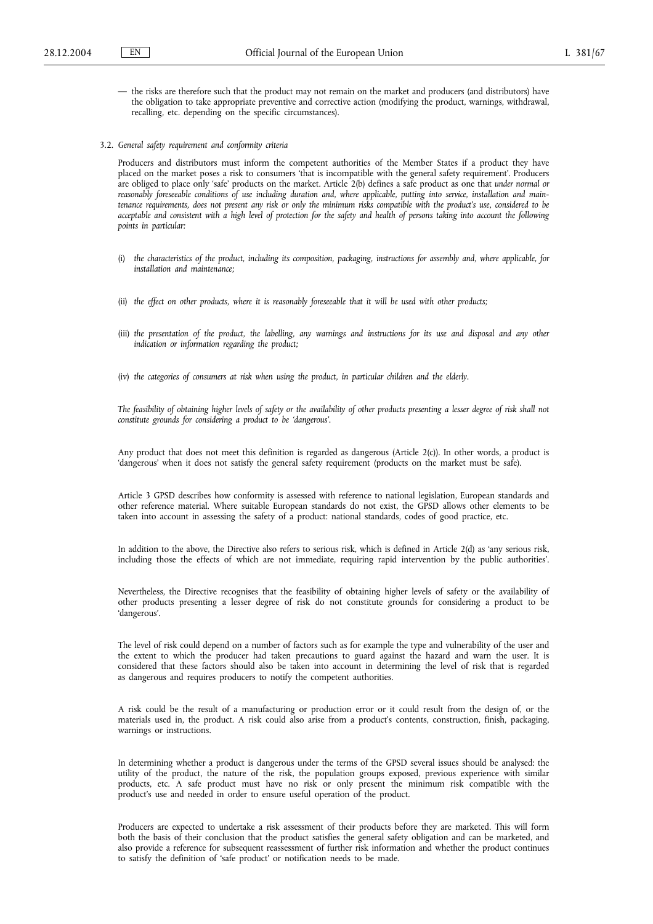- the risks are therefore such that the product may not remain on the market and producers (and distributors) have the obligation to take appropriate preventive and corrective action (modifying the product, warnings, withdrawal, recalling, etc. depending on the specific circumstances).
- 3.2. *General safety requirement and conformity criteria*

Producers and distributors must inform the competent authorities of the Member States if a product they have placed on the market poses a risk to consumers 'that is incompatible with the general safety requirement'. Producers are obliged to place only 'safe' products on the market. Article 2(b) defines a safe product as one that *under normal or reasonably foreseeable conditions of use including duration and, where applicable, putting into service, installation and maintenance requirements, does not present any risk or only the minimum risks compatible with the product's use, considered to be acceptable and consistent with a high level of protection for the safety and health of persons taking into account the following points in particular:*

- (i) *the characteristics of the product, including its composition, packaging, instructions for assembly and, where applicable, for installation and maintenance;*
- (ii) *the effect on other products, where it is reasonably foreseeable that it will be used with other products;*
- (iii) *the presentation of the product, the labelling, any warnings and instructions for its use and disposal and any other indication or information regarding the product;*
- (iv) *the categories of consumers at risk when using the product, in particular children and the elderly.*

*The feasibility of obtaining higher levels of safety or the availability of other products presenting a lesser degree of risk shall not constitute grounds for considering a product to be 'dangerous'.*

Any product that does not meet this definition is regarded as dangerous (Article 2(c)). In other words, a product is 'dangerous' when it does not satisfy the general safety requirement (products on the market must be safe).

Article 3 GPSD describes how conformity is assessed with reference to national legislation, European standards and other reference material. Where suitable European standards do not exist, the GPSD allows other elements to be taken into account in assessing the safety of a product: national standards, codes of good practice, etc.

In addition to the above, the Directive also refers to serious risk, which is defined in Article 2(d) as 'any serious risk, including those the effects of which are not immediate, requiring rapid intervention by the public authorities'.

Nevertheless, the Directive recognises that the feasibility of obtaining higher levels of safety or the availability of other products presenting a lesser degree of risk do not constitute grounds for considering a product to be 'dangerous'.

The level of risk could depend on a number of factors such as for example the type and vulnerability of the user and the extent to which the producer had taken precautions to guard against the hazard and warn the user. It is considered that these factors should also be taken into account in determining the level of risk that is regarded as dangerous and requires producers to notify the competent authorities.

A risk could be the result of a manufacturing or production error or it could result from the design of, or the materials used in, the product. A risk could also arise from a product's contents, construction, finish, packaging, warnings or instructions.

In determining whether a product is dangerous under the terms of the GPSD several issues should be analysed: the utility of the product, the nature of the risk, the population groups exposed, previous experience with similar products, etc. A safe product must have no risk or only present the minimum risk compatible with the product's use and needed in order to ensure useful operation of the product.

Producers are expected to undertake a risk assessment of their products before they are marketed. This will form both the basis of their conclusion that the product satisfies the general safety obligation and can be marketed, and also provide a reference for subsequent reassessment of further risk information and whether the product continues to satisfy the definition of 'safe product' or notification needs to be made.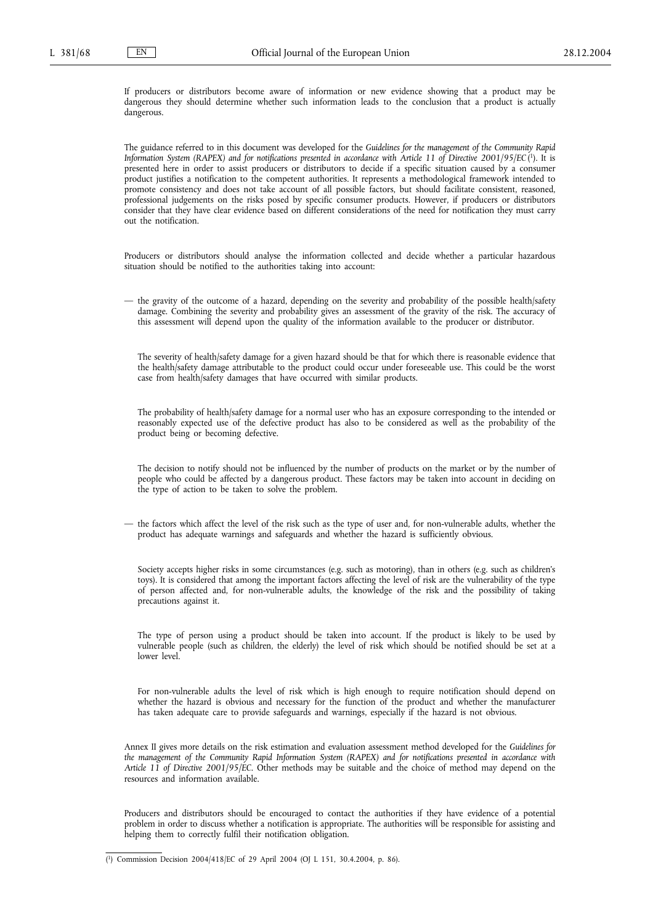If producers or distributors become aware of information or new evidence showing that a product may be dangerous they should determine whether such information leads to the conclusion that a product is actually dangerous.

The guidance referred to in this document was developed for the *Guidelines for the management of the Community Rapid Information System (RAPEX) and for notifications presented in accordance with Article 11 of Directive 2001/95/EC* ( 1). It is presented here in order to assist producers or distributors to decide if a specific situation caused by a consumer product justifies a notification to the competent authorities. It represents a methodological framework intended to promote consistency and does not take account of all possible factors, but should facilitate consistent, reasoned, professional judgements on the risks posed by specific consumer products. However, if producers or distributors consider that they have clear evidence based on different considerations of the need for notification they must carry out the notification.

Producers or distributors should analyse the information collected and decide whether a particular hazardous situation should be notified to the authorities taking into account:

— the gravity of the outcome of a hazard, depending on the severity and probability of the possible health/safety damage. Combining the severity and probability gives an assessment of the gravity of the risk. The accuracy of this assessment will depend upon the quality of the information available to the producer or distributor.

The severity of health/safety damage for a given hazard should be that for which there is reasonable evidence that the health/safety damage attributable to the product could occur under foreseeable use. This could be the worst case from health/safety damages that have occurred with similar products.

The probability of health/safety damage for a normal user who has an exposure corresponding to the intended or reasonably expected use of the defective product has also to be considered as well as the probability of the product being or becoming defective.

The decision to notify should not be influenced by the number of products on the market or by the number of people who could be affected by a dangerous product. These factors may be taken into account in deciding on the type of action to be taken to solve the problem.

— the factors which affect the level of the risk such as the type of user and, for non-vulnerable adults, whether the product has adequate warnings and safeguards and whether the hazard is sufficiently obvious.

Society accepts higher risks in some circumstances (e.g. such as motoring), than in others (e.g. such as children's toys). It is considered that among the important factors affecting the level of risk are the vulnerability of the type of person affected and, for non-vulnerable adults, the knowledge of the risk and the possibility of taking precautions against it.

The type of person using a product should be taken into account. If the product is likely to be used by vulnerable people (such as children, the elderly) the level of risk which should be notified should be set at a lower level.

For non-vulnerable adults the level of risk which is high enough to require notification should depend on whether the hazard is obvious and necessary for the function of the product and whether the manufacturer has taken adequate care to provide safeguards and warnings, especially if the hazard is not obvious.

Annex II gives more details on the risk estimation and evaluation assessment method developed for the *Guidelines for the management of the Community Rapid Information System (RAPEX) and for notifications presented in accordance with Article 11 of Directive 2001/95/EC*. Other methods may be suitable and the choice of method may depend on the resources and information available.

Producers and distributors should be encouraged to contact the authorities if they have evidence of a potential problem in order to discuss whether a notification is appropriate. The authorities will be responsible for assisting and helping them to correctly fulfil their notification obligation.

<sup>(</sup> 1) Commission Decision 2004/418/EC of 29 April 2004 (OJ L 151, 30.4.2004, p. 86).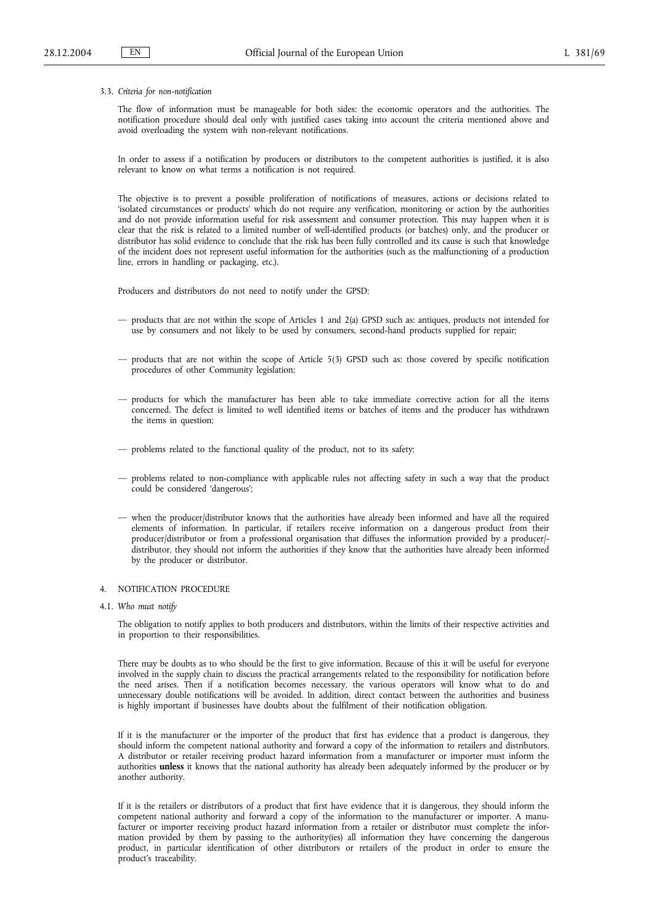#### 3.3. *Criteria for non-notification*

The flow of information must be manageable for both sides: the economic operators and the authorities. The notification procedure should deal only with justified cases taking into account the criteria mentioned above and avoid overloading the system with non-relevant notifications.

In order to assess if a notification by producers or distributors to the competent authorities is justified, it is also relevant to know on what terms a notification is not required.

The objective is to prevent a possible proliferation of notifications of measures, actions or decisions related to 'isolated circumstances or products' which do not require any verification, monitoring or action by the authorities and do not provide information useful for risk assessment and consumer protection. This may happen when it is clear that the risk is related to a limited number of well-identified products (or batches) only, and the producer or distributor has solid evidence to conclude that the risk has been fully controlled and its cause is such that knowledge of the incident does not represent useful information for the authorities (such as the malfunctioning of a production line, errors in handling or packaging, etc.).

Producers and distributors do not need to notify under the GPSD:

- products that are not within the scope of Articles 1 and 2(a) GPSD such as: antiques, products not intended for use by consumers and not likely to be used by consumers, second-hand products supplied for repair;
- products that are not within the scope of Article 5(3) GPSD such as: those covered by specific notification procedures of other Community legislation;
- products for which the manufacturer has been able to take immediate corrective action for all the items concerned. The defect is limited to well identified items or batches of items and the producer has withdrawn the items in question;
- problems related to the functional quality of the product, not to its safety;
- problems related to non-compliance with applicable rules not affecting safety in such a way that the product could be considered 'dangerous';
- when the producer/distributor knows that the authorities have already been informed and have all the required elements of information. In particular, if retailers receive information on a dangerous product from their producer/distributor or from a professional organisation that diffuses the information provided by a producer/ distributor, they should not inform the authorities if they know that the authorities have already been informed by the producer or distributor.

# 4. NOTIFICATION PROCEDURE

4.1. *Who must notify*

The obligation to notify applies to both producers and distributors, within the limits of their respective activities and in proportion to their responsibilities.

There may be doubts as to who should be the first to give information. Because of this it will be useful for everyone involved in the supply chain to discuss the practical arrangements related to the responsibility for notification before the need arises. Then if a notification becomes necessary, the various operators will know what to do and unnecessary double notifications will be avoided. In addition, direct contact between the authorities and business is highly important if businesses have doubts about the fulfilment of their notification obligation.

If it is the manufacturer or the importer of the product that first has evidence that a product is dangerous, they should inform the competent national authority and forward a copy of the information to retailers and distributors. A distributor or retailer receiving product hazard information from a manufacturer or importer must inform the authorities **unless** it knows that the national authority has already been adequately informed by the producer or by another authority.

If it is the retailers or distributors of a product that first have evidence that it is dangerous, they should inform the competent national authority and forward a copy of the information to the manufacturer or importer. A manufacturer or importer receiving product hazard information from a retailer or distributor must complete the information provided by them by passing to the authority(ies) all information they have concerning the dangerous product, in particular identification of other distributors or retailers of the product in order to ensure the product's traceability.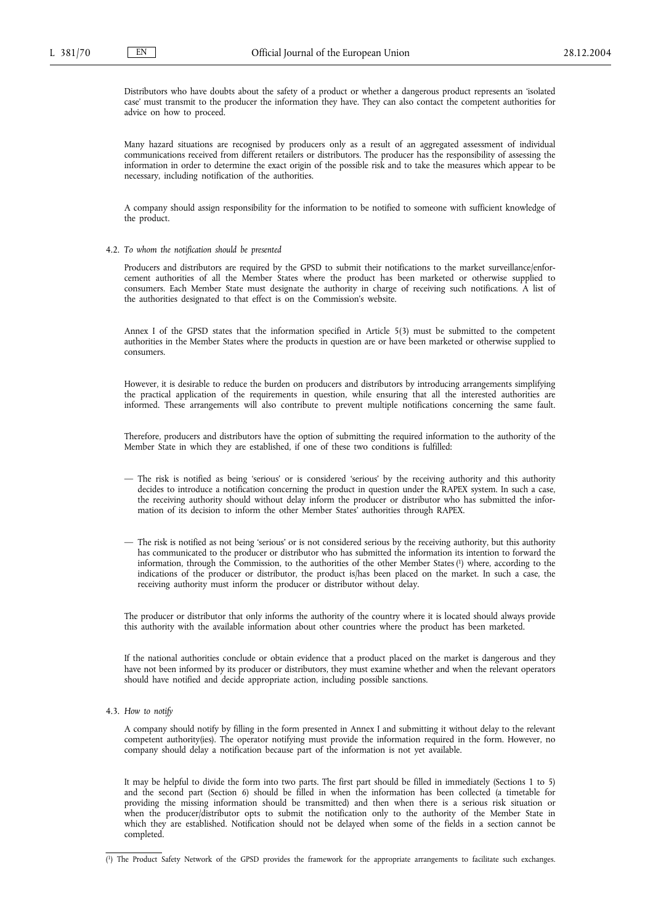Distributors who have doubts about the safety of a product or whether a dangerous product represents an 'isolated case' must transmit to the producer the information they have. They can also contact the competent authorities for advice on how to proceed.

Many hazard situations are recognised by producers only as a result of an aggregated assessment of individual communications received from different retailers or distributors. The producer has the responsibility of assessing the information in order to determine the exact origin of the possible risk and to take the measures which appear to be necessary, including notification of the authorities.

A company should assign responsibility for the information to be notified to someone with sufficient knowledge of the product.

4.2. *To whom the notification should be presented*

Producers and distributors are required by the GPSD to submit their notifications to the market surveillance/enforcement authorities of all the Member States where the product has been marketed or otherwise supplied to consumers. Each Member State must designate the authority in charge of receiving such notifications. A list of the authorities designated to that effect is on the Commission's website.

Annex I of the GPSD states that the information specified in Article 5(3) must be submitted to the competent authorities in the Member States where the products in question are or have been marketed or otherwise supplied to consumers.

However, it is desirable to reduce the burden on producers and distributors by introducing arrangements simplifying the practical application of the requirements in question, while ensuring that all the interested authorities are informed. These arrangements will also contribute to prevent multiple notifications concerning the same fault.

Therefore, producers and distributors have the option of submitting the required information to the authority of the Member State in which they are established, if one of these two conditions is fulfilled:

- The risk is notified as being 'serious' or is considered 'serious' by the receiving authority and this authority decides to introduce a notification concerning the product in question under the RAPEX system. In such a case, the receiving authority should without delay inform the producer or distributor who has submitted the information of its decision to inform the other Member States' authorities through RAPEX.
- The risk is notified as not being 'serious' or is not considered serious by the receiving authority, but this authority has communicated to the producer or distributor who has submitted the information its intention to forward the information, through the Commission, to the authorities of the other Member States (1) where, according to the indications of the producer or distributor, the product is/has been placed on the market. In such a case, the receiving authority must inform the producer or distributor without delay.

The producer or distributor that only informs the authority of the country where it is located should always provide this authority with the available information about other countries where the product has been marketed.

If the national authorities conclude or obtain evidence that a product placed on the market is dangerous and they have not been informed by its producer or distributors, they must examine whether and when the relevant operators should have notified and decide appropriate action, including possible sanctions.

4.3. *How to notify*

A company should notify by filling in the form presented in Annex I and submitting it without delay to the relevant competent authority(ies). The operator notifying must provide the information required in the form. However, no company should delay a notification because part of the information is not yet available.

It may be helpful to divide the form into two parts. The first part should be filled in immediately (Sections 1 to 5) and the second part (Section 6) should be filled in when the information has been collected (a timetable for providing the missing information should be transmitted) and then when there is a serious risk situation or when the producer/distributor opts to submit the notification only to the authority of the Member State in which they are established. Notification should not be delayed when some of the fields in a section cannot be completed.

<sup>(</sup> 1) The Product Safety Network of the GPSD provides the framework for the appropriate arrangements to facilitate such exchanges.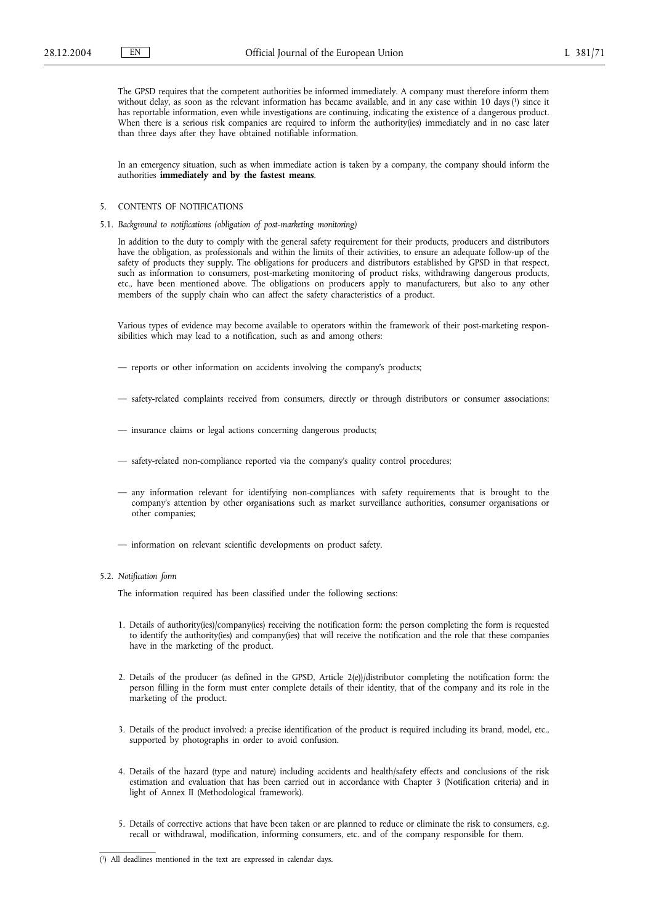The GPSD requires that the competent authorities be informed immediately. A company must therefore inform them without delay, as soon as the relevant information has became available, and in any case within 10 days (<sup>1</sup>) since it has reportable information, even while investigations are continuing, indicating the existence of a dangerous product. When there is a serious risk companies are required to inform the authority(ies) immediately and in no case later than three days after they have obtained notifiable information.

In an emergency situation, such as when immediate action is taken by a company, the company should inform the authorities **immediately and by the fastest means**.

# 5. CONTENTS OF NOTIFICATIONS

5.1. *Background to notifications (obligation of post-marketing monitoring)*

In addition to the duty to comply with the general safety requirement for their products, producers and distributors have the obligation, as professionals and within the limits of their activities, to ensure an adequate follow-up of the safety of products they supply. The obligations for producers and distributors established by GPSD in that respect, such as information to consumers, post-marketing monitoring of product risks, withdrawing dangerous products, etc., have been mentioned above. The obligations on producers apply to manufacturers, but also to any other members of the supply chain who can affect the safety characteristics of a product.

Various types of evidence may become available to operators within the framework of their post-marketing responsibilities which may lead to a notification, such as and among others:

- reports or other information on accidents involving the company's products;
- safety-related complaints received from consumers, directly or through distributors or consumer associations;
- insurance claims or legal actions concerning dangerous products;
- safety-related non-compliance reported via the company's quality control procedures;
- any information relevant for identifying non-compliances with safety requirements that is brought to the company's attention by other organisations such as market surveillance authorities, consumer organisations or other companies;
- information on relevant scientific developments on product safety.

#### 5.2. *Notification form*

The information required has been classified under the following sections:

- 1. Details of authority(ies)/company(ies) receiving the notification form: the person completing the form is requested to identify the authority(ies) and company(ies) that will receive the notification and the role that these companies have in the marketing of the product.
- 2. Details of the producer (as defined in the GPSD, Article 2(e))/distributor completing the notification form: the person filling in the form must enter complete details of their identity, that of the company and its role in the marketing of the product.
- 3. Details of the product involved: a precise identification of the product is required including its brand, model, etc., supported by photographs in order to avoid confusion.
- 4. Details of the hazard (type and nature) including accidents and health/safety effects and conclusions of the risk estimation and evaluation that has been carried out in accordance with Chapter 3 (Notification criteria) and in light of Annex II (Methodological framework).
- 5. Details of corrective actions that have been taken or are planned to reduce or eliminate the risk to consumers, e.g. recall or withdrawal, modification, informing consumers, etc. and of the company responsible for them.

<sup>(</sup> 1) All deadlines mentioned in the text are expressed in calendar days.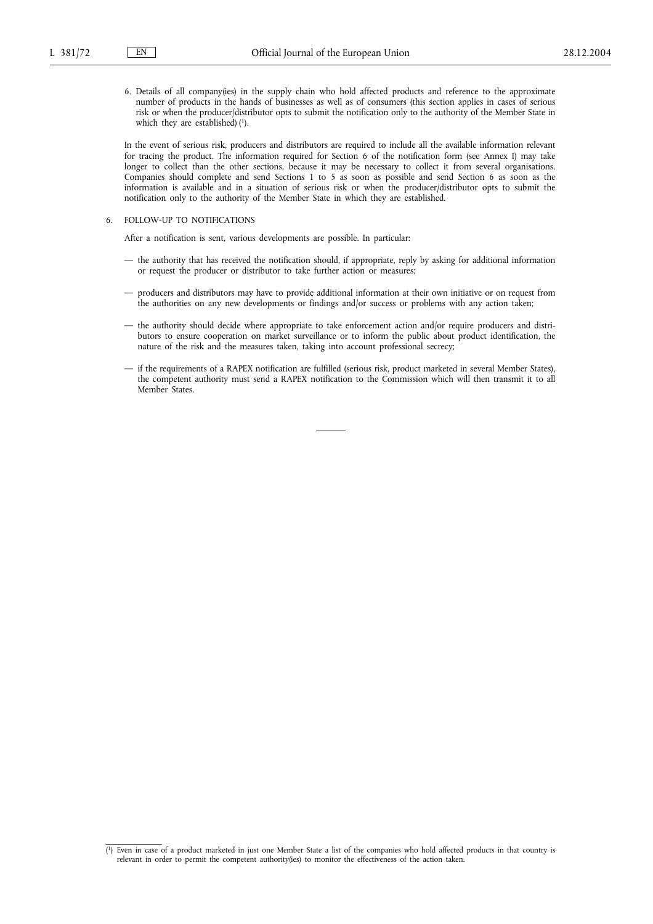6. Details of all company(ies) in the supply chain who hold affected products and reference to the approximate number of products in the hands of businesses as well as of consumers (this section applies in cases of serious risk or when the producer/distributor opts to submit the notification only to the authority of the Member State in which they are established)  $(1)$ .

In the event of serious risk, producers and distributors are required to include all the available information relevant for tracing the product. The information required for Section 6 of the notification form (see Annex I) may take longer to collect than the other sections, because it may be necessary to collect it from several organisations. Companies should complete and send Sections 1 to 5 as soon as possible and send Section 6 as soon as the information is available and in a situation of serious risk or when the producer/distributor opts to submit the notification only to the authority of the Member State in which they are established.

# 6. FOLLOW-UP TO NOTIFICATIONS

After a notification is sent, various developments are possible. In particular:

- the authority that has received the notification should, if appropriate, reply by asking for additional information or request the producer or distributor to take further action or measures;
- producers and distributors may have to provide additional information at their own initiative or on request from the authorities on any new developments or findings and/or success or problems with any action taken;
- the authority should decide where appropriate to take enforcement action and/or require producers and distributors to ensure cooperation on market surveillance or to inform the public about product identification, the nature of the risk and the measures taken, taking into account professional secrecy;
- if the requirements of a RAPEX notification are fulfilled (serious risk, product marketed in several Member States), the competent authority must send a RAPEX notification to the Commission which will then transmit it to all Member States.

<sup>(</sup> 1) Even in case of a product marketed in just one Member State a list of the companies who hold affected products in that country is relevant in order to permit the competent authority(ies) to monitor the effectiveness of the action taken.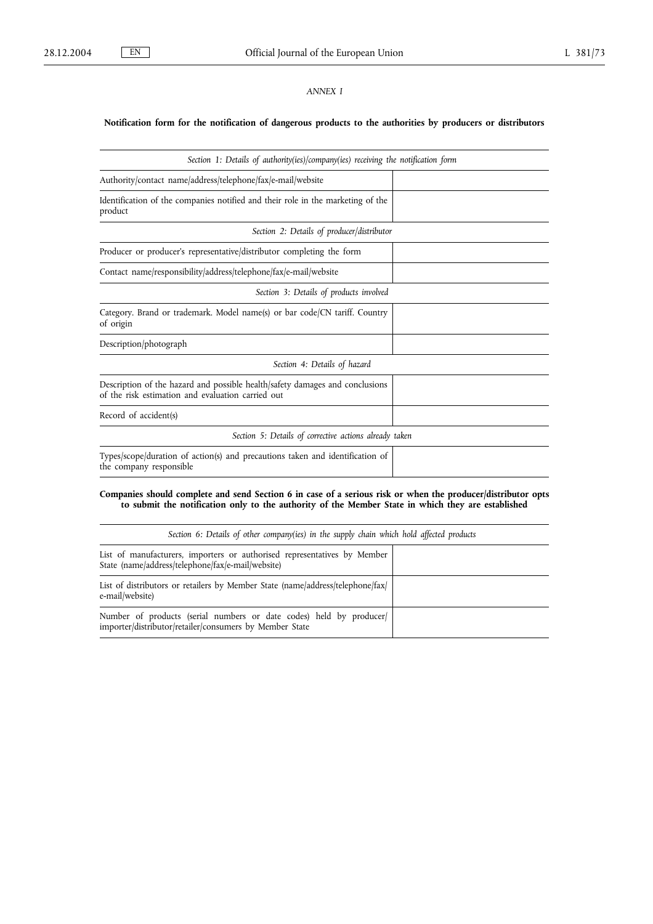# *ANNEX I*

# **Notification form for the notification of dangerous products to the authorities by producers or distributors**

| Section 1: Details of authority(ies)/company(ies) receiving the notification form                                                 |  |
|-----------------------------------------------------------------------------------------------------------------------------------|--|
| Authority/contact_name/address/telephone/fax/e-mail/website                                                                       |  |
| Identification of the companies notified and their role in the marketing of the<br>product                                        |  |
| Section 2: Details of producer/distributor                                                                                        |  |
| Producer or producer's representative/distributor completing the form                                                             |  |
| Contact name/responsibility/address/telephone/fax/e-mail/website                                                                  |  |
| Section 3: Details of products involved                                                                                           |  |
| Category. Brand or trademark. Model name(s) or bar code/CN tariff. Country<br>of origin                                           |  |
| Description/photograph                                                                                                            |  |
| Section 4: Details of hazard                                                                                                      |  |
| Description of the hazard and possible health/safety damages and conclusions<br>of the risk estimation and evaluation carried out |  |
| Record of accident(s)                                                                                                             |  |
| Section 5: Details of corrective actions already taken                                                                            |  |
| Types/scope/duration of action(s) and precautions taken and identification of<br>the company responsible                          |  |
|                                                                                                                                   |  |

**Companies should complete and send Section 6 in case of a serious risk or when the producer/distributor opts to submit the notification only to the authority of the Member State in which they are established**

| Section 6: Details of other company(ies) in the supply chain which hold affected products                                      |  |
|--------------------------------------------------------------------------------------------------------------------------------|--|
| List of manufacturers, importers or authorised representatives by Member<br>State (name/address/telephone/fax/e-mail/website)  |  |
| List of distributors or retailers by Member State (name/address/telephone/fax/<br>e-mail/website)                              |  |
| Number of products (serial numbers or date codes) held by producer/<br>importer/distributor/retailer/consumers by Member State |  |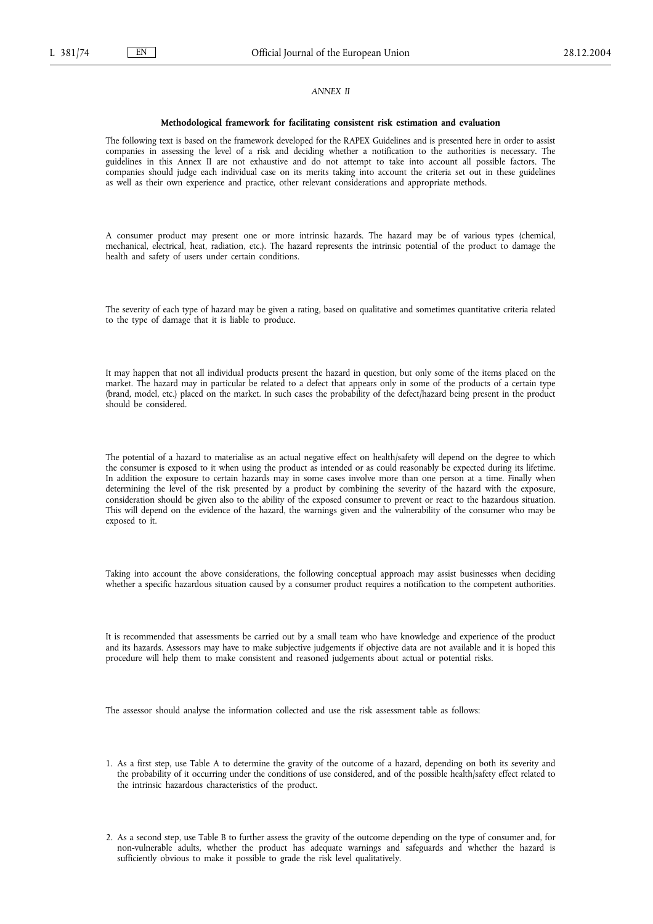#### *ANNEX II*

#### **Methodological framework for facilitating consistent risk estimation and evaluation**

The following text is based on the framework developed for the RAPEX Guidelines and is presented here in order to assist companies in assessing the level of a risk and deciding whether a notification to the authorities is necessary. The guidelines in this Annex II are not exhaustive and do not attempt to take into account all possible factors. The companies should judge each individual case on its merits taking into account the criteria set out in these guidelines as well as their own experience and practice, other relevant considerations and appropriate methods.

A consumer product may present one or more intrinsic hazards. The hazard may be of various types (chemical, mechanical, electrical, heat, radiation, etc.). The hazard represents the intrinsic potential of the product to damage the health and safety of users under certain conditions.

The severity of each type of hazard may be given a rating, based on qualitative and sometimes quantitative criteria related to the type of damage that it is liable to produce.

It may happen that not all individual products present the hazard in question, but only some of the items placed on the market. The hazard may in particular be related to a defect that appears only in some of the products of a certain type (brand, model, etc.) placed on the market. In such cases the probability of the defect/hazard being present in the product should be considered.

The potential of a hazard to materialise as an actual negative effect on health/safety will depend on the degree to which the consumer is exposed to it when using the product as intended or as could reasonably be expected during its lifetime. In addition the exposure to certain hazards may in some cases involve more than one person at a time. Finally when determining the level of the risk presented by a product by combining the severity of the hazard with the exposure, consideration should be given also to the ability of the exposed consumer to prevent or react to the hazardous situation. This will depend on the evidence of the hazard, the warnings given and the vulnerability of the consumer who may be exposed to it.

Taking into account the above considerations, the following conceptual approach may assist businesses when deciding whether a specific hazardous situation caused by a consumer product requires a notification to the competent authorities.

It is recommended that assessments be carried out by a small team who have knowledge and experience of the product and its hazards. Assessors may have to make subjective judgements if objective data are not available and it is hoped this procedure will help them to make consistent and reasoned judgements about actual or potential risks.

The assessor should analyse the information collected and use the risk assessment table as follows:

- 1. As a first step, use Table A to determine the gravity of the outcome of a hazard, depending on both its severity and the probability of it occurring under the conditions of use considered, and of the possible health/safety effect related to the intrinsic hazardous characteristics of the product.
- 2. As a second step, use Table B to further assess the gravity of the outcome depending on the type of consumer and, for non-vulnerable adults, whether the product has adequate warnings and safeguards and whether the hazard is sufficiently obvious to make it possible to grade the risk level qualitatively.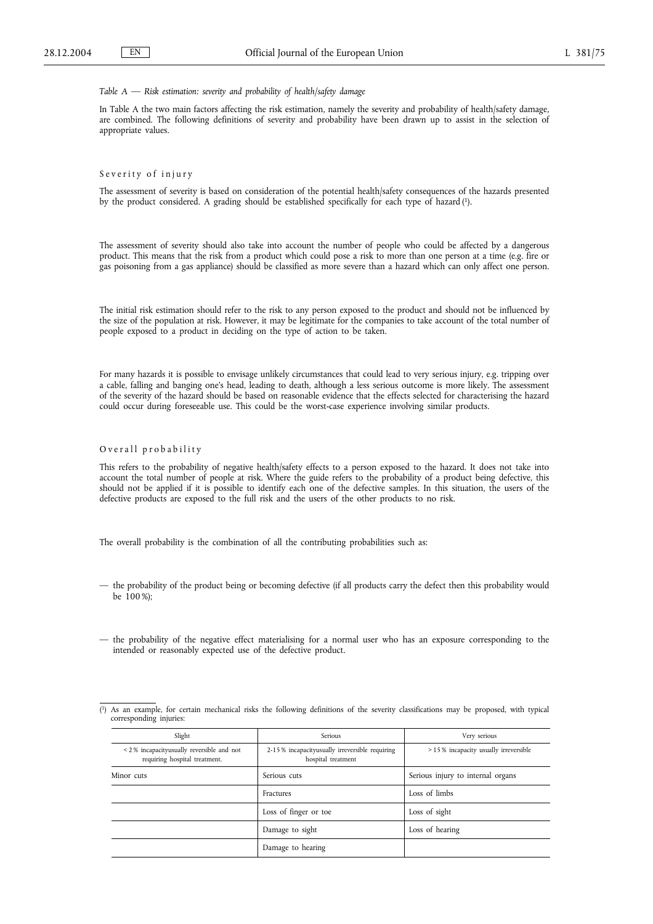# *Table A — Risk estimation: severity and probability of health/safety damage*

In Table A the two main factors affecting the risk estimation, namely the severity and probability of health/safety damage, are combined. The following definitions of severity and probability have been drawn up to assist in the selection of appropriate values.

# Severity of injury

The assessment of severity is based on consideration of the potential health/safety consequences of the hazards presented by the product considered. A grading should be established specifically for each type of hazard (1).

The assessment of severity should also take into account the number of people who could be affected by a dangerous product. This means that the risk from a product which could pose a risk to more than one person at a time (e.g. fire or gas poisoning from a gas appliance) should be classified as more severe than a hazard which can only affect one person.

The initial risk estimation should refer to the risk to any person exposed to the product and should not be influenced by the size of the population at risk. However, it may be legitimate for the companies to take account of the total number of people exposed to a product in deciding on the type of action to be taken.

For many hazards it is possible to envisage unlikely circumstances that could lead to very serious injury, e.g. tripping over a cable, falling and banging one's head, leading to death, although a less serious outcome is more likely. The assessment of the severity of the hazard should be based on reasonable evidence that the effects selected for characterising the hazard could occur during foreseeable use. This could be the worst-case experience involving similar products.

# Overall probability

This refers to the probability of negative health/safety effects to a person exposed to the hazard. It does not take into account the total number of people at risk. Where the guide refers to the probability of a product being defective, this should not be applied if it is possible to identify each one of the defective samples. In this situation, the users of the defective products are exposed to the full risk and the users of the other products to no risk.

The overall probability is the combination of all the contributing probabilities such as:

- the probability of the product being or becoming defective (if all products carry the defect then this probability would be 100 %);
- the probability of the negative effect materialising for a normal user who has an exposure corresponding to the intended or reasonably expected use of the defective product.

|  |                         |  |  |  |  |  | (1) As an example, for certain mechanical risks the following definitions of the severity classifications may be proposed, with typical |  |  |  |
|--|-------------------------|--|--|--|--|--|-----------------------------------------------------------------------------------------------------------------------------------------|--|--|--|
|  | corresponding injuries: |  |  |  |  |  |                                                                                                                                         |  |  |  |

| Slight                                                                    | Serious                                                              | Very serious                         |
|---------------------------------------------------------------------------|----------------------------------------------------------------------|--------------------------------------|
| <2% incapacityusually reversible and not<br>requiring hospital treatment. | 2-15% incapacityusually irreversible requiring<br>hospital treatment | >15% incapacity usually irreversible |
| Minor cuts                                                                | Serious cuts                                                         | Serious injury to internal organs    |
|                                                                           | Fractures                                                            | Loss of limbs                        |
|                                                                           | Loss of finger or toe                                                | Loss of sight                        |
|                                                                           | Damage to sight                                                      | Loss of hearing                      |
|                                                                           | Damage to hearing                                                    |                                      |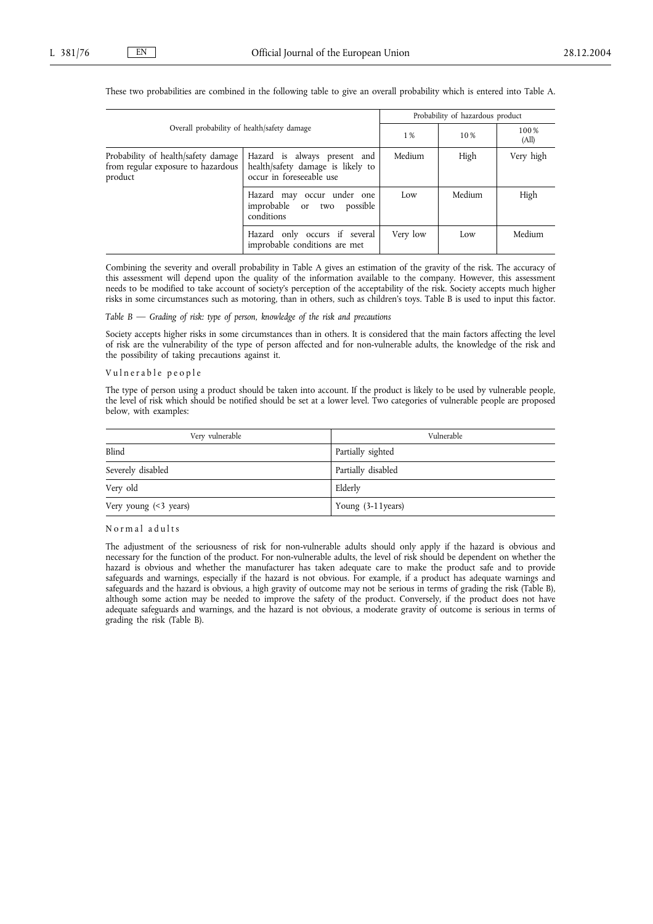|                                                                                      |                                                                                               |          | Probability of hazardous product |               |  |  |
|--------------------------------------------------------------------------------------|-----------------------------------------------------------------------------------------------|----------|----------------------------------|---------------|--|--|
| Overall probability of health/safety damage                                          |                                                                                               | 1 %      | 10%                              | 100%<br>(All) |  |  |
| Probability of health/safety damage<br>from regular exposure to hazardous<br>product | Hazard is always present and<br>health/safety damage is likely to<br>occur in foreseeable use | Medium   | High                             | Very high     |  |  |
|                                                                                      | Hazard may occur under one<br>improbable or two<br>possible<br>conditions                     | Low      | Medium                           | High          |  |  |
|                                                                                      | Hazard only occurs if several<br>improbable conditions are met                                | Very low | Low                              | Medium        |  |  |

These two probabilities are combined in the following table to give an overall probability which is entered into Table A.

Combining the severity and overall probability in Table A gives an estimation of the gravity of the risk. The accuracy of this assessment will depend upon the quality of the information available to the company. However, this assessment needs to be modified to take account of society's perception of the acceptability of the risk. Society accepts much higher risks in some circumstances such as motoring, than in others, such as children's toys. Table B is used to input this factor.

# *Table B — Grading of risk: type of person, knowledge of the risk and precautions*

Society accepts higher risks in some circumstances than in others. It is considered that the main factors affecting the level of risk are the vulnerability of the type of person affected and for non-vulnerable adults, the knowledge of the risk and the possibility of taking precautions against it.

## Vulnerable people

The type of person using a product should be taken into account. If the product is likely to be used by vulnerable people, the level of risk which should be notified should be set at a lower level. Two categories of vulnerable people are proposed below, with examples:

| Very vulnerable         | Vulnerable         |
|-------------------------|--------------------|
| Blind                   | Partially sighted  |
| Severely disabled       | Partially disabled |
| Very old                | Elderly            |
| Very young $($ 3 years) | Young (3-11 years) |

#### Normal adults

The adjustment of the seriousness of risk for non-vulnerable adults should only apply if the hazard is obvious and necessary for the function of the product. For non-vulnerable adults, the level of risk should be dependent on whether the hazard is obvious and whether the manufacturer has taken adequate care to make the product safe and to provide safeguards and warnings, especially if the hazard is not obvious. For example, if a product has adequate warnings and safeguards and the hazard is obvious, a high gravity of outcome may not be serious in terms of grading the risk (Table B), although some action may be needed to improve the safety of the product. Conversely, if the product does not have adequate safeguards and warnings, and the hazard is not obvious, a moderate gravity of outcome is serious in terms of grading the risk (Table B).